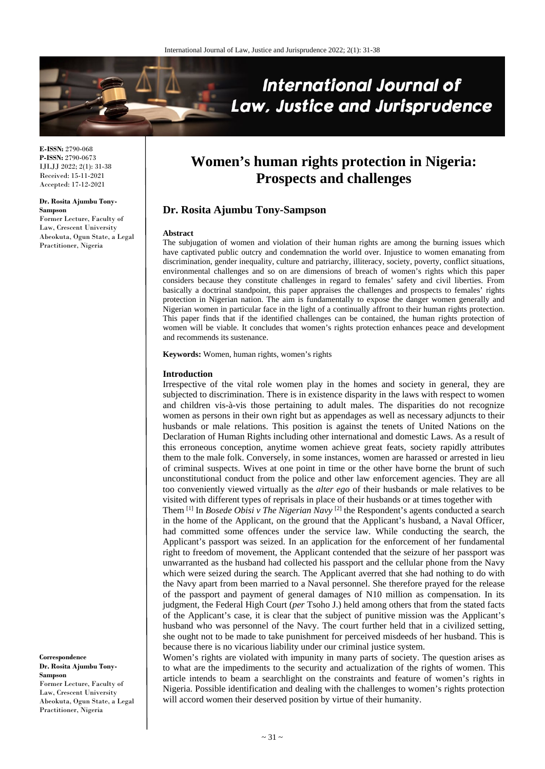

**E-ISSN:** 2790-068 **P-ISSN:** 2790-0673 IJLJJ 2022; 2(1): 31-38 Received: 15-11-2021 Accepted: 17-12-2021

**Dr. Rosita Ajumbu Tony-Sampson** Former Lecture, Faculty of Law, Crescent University Abeokuta, Ogun State, a Legal Practitioner, Nigeria

**Women's human rights protection in Nigeria: Prospects and challenges**

# **Dr. Rosita Ajumbu Tony-Sampson**

#### **Abstract**

The subjugation of women and violation of their human rights are among the burning issues which have captivated public outcry and condemnation the world over. Injustice to women emanating from discrimination, gender inequality, culture and patriarchy, illiteracy, society, poverty, conflict situations, environmental challenges and so on are dimensions of breach of women's rights which this paper considers because they constitute challenges in regard to females' safety and civil liberties. From basically a doctrinal standpoint, this paper appraises the challenges and prospects to females' rights protection in Nigerian nation. The aim is fundamentally to expose the danger women generally and Nigerian women in particular face in the light of a continually affront to their human rights protection. This paper finds that if the identified challenges can be contained, the human rights protection of women will be viable. It concludes that women's rights protection enhances peace and development and recommends its sustenance.

**Keywords:** Women, human rights, women's rights

#### **Introduction**

Irrespective of the vital role women play in the homes and society in general, they are subjected to discrimination. There is in existence disparity in the laws with respect to women and children vis-à-vis those pertaining to adult males. The disparities do not recognize women as persons in their own right but as appendages as well as necessary adjuncts to their husbands or male relations. This position is against the tenets of United Nations on the Declaration of Human Rights including other international and domestic Laws. As a result of this erroneous conception, anytime women achieve great feats, society rapidly attributes them to the male folk. Conversely, in some instances, women are harassed or arrested in lieu of criminal suspects. Wives at one point in time or the other have borne the brunt of such unconstitutional conduct from the police and other law enforcement agencies. They are all too conveniently viewed virtually as the *alter ego* of their husbands or male relatives to be visited with different types of reprisals in place of their husbands or at times together with

Them [1] In *Bosede Obisi v The Nigerian Navy* [2] the Respondent's agents conducted a search in the home of the Applicant, on the ground that the Applicant's husband, a Naval Officer, had committed some offences under the service law. While conducting the search, the Applicant's passport was seized. In an application for the enforcement of her fundamental right to freedom of movement, the Applicant contended that the seizure of her passport was unwarranted as the husband had collected his passport and the cellular phone from the Navy which were seized during the search. The Applicant averred that she had nothing to do with the Navy apart from been married to a Naval personnel. She therefore prayed for the release of the passport and payment of general damages of N10 million as compensation. In its judgment, the Federal High Court (*per* Tsoho J.) held among others that from the stated facts of the Applicant's case, it is clear that the subject of punitive mission was the Applicant's husband who was personnel of the Navy. The court further held that in a civilized setting, she ought not to be made to take punishment for perceived misdeeds of her husband. This is because there is no vicarious liability under our criminal justice system.

Women's rights are violated with impunity in many parts of society. The question arises as to what are the impediments to the security and actualization of the rights of women. This article intends to beam a searchlight on the constraints and feature of women's rights in Nigeria. Possible identification and dealing with the challenges to women's rights protection will accord women their deserved position by virtue of their humanity.

**Correspondence Dr. Rosita Ajumbu Tony-Sampson** Former Lecture, Faculty of Law, Crescent University Abeokuta, Ogun State, a Legal Practitioner, Nigeria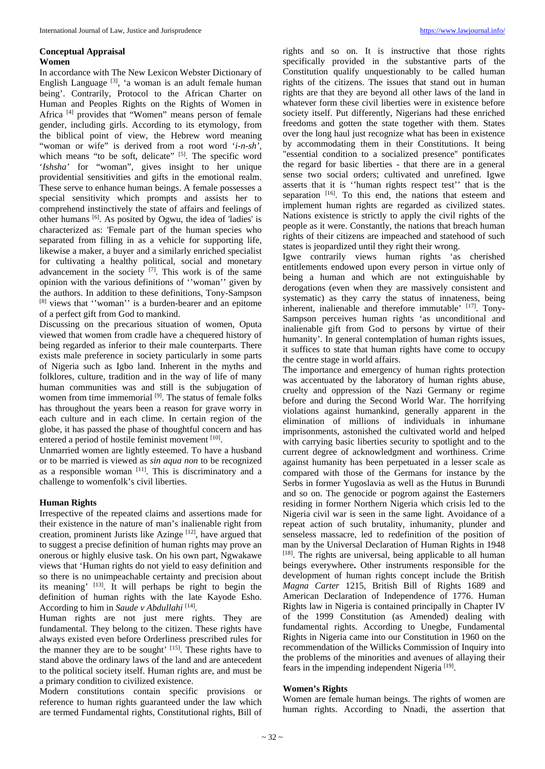#### **Conceptual Appraisal Women**

In accordance with The New Lexicon Webster Dictionary of English Language [3], 'a woman is an adult female human being'. Contrarily, Protocol to the African Charter on Human and Peoples Rights on the Rights of Women in Africa [4] provides that "Women" means person of female gender, including girls. According to its etymology, from the biblical point of view, the Hebrew word meaning "woman or wife" is derived from a root word '*i-n-sh',*  which means "to be soft, delicate" <sup>[5]</sup>. The specific word '*Ishsha'* for "woman", gives insight to her unique providential sensitivities and gifts in the emotional realm. These serve to enhance human beings. A female possesses a special sensitivity which prompts and assists her to comprehend instinctively the state of affairs and feelings of other humans [6] . As posited by Ogwu, the idea of 'ladies' is characterized as: 'Female part of the human species who separated from filling in as a vehicle for supporting life, likewise a maker, a buyer and a similarly enriched specialist for cultivating a healthy political, social and monetary advancement in the society  $[7]$ . This work is of the same opinion with the various definitions of ''woman'' given by the authors. In addition to these definitions, Tony-Sampson [8] views that ''woman'' is a burden-bearer and an epitome of a perfect gift from God to mankind.

Discussing on the precarious situation of women, Oputa viewed that women from cradle have a chequered history of being regarded as inferior to their male counterparts. There exists male preference in society particularly in some parts of Nigeria such as Igbo land. Inherent in the myths and folklores, culture, tradition and in the way of life of many human communities was and still is the subjugation of women from time immemorial <sup>[9]</sup>. The status of female folks has throughout the years been a reason for grave worry in each culture and in each clime. In certain region of the globe, it has passed the phase of thoughtful concern and has entered a period of hostile feminist movement [10].

Unmarried women are lightly esteemed. To have a husband or to be married is viewed as *sin aqua non* to be recognized as a responsible woman [11]. This is discriminatory and a challenge to womenfolk's civil liberties.

# **Human Rights**

Irrespective of the repeated claims and assertions made for their existence in the nature of man's inalienable right from creation, prominent Jurists like Azinge<sup>[12]</sup>, have argued that to suggest a precise definition of human rights may prove an onerous or highly elusive task. On his own part, Ngwakawe views that 'Human rights do not yield to easy definition and so there is no unimpeachable certainty and precision about its meaning' [13]. It will perhaps be right to begin the definition of human rights with the late Kayode Esho. According to him in *Saude v Abdullahi* [14] *.*

Human rights are not just mere rights. They are fundamental. They belong to the citizen. These rights have always existed even before Orderliness prescribed rules for the manner they are to be sought'  $[15]$ . These rights have to stand above the ordinary laws of the land and are antecedent to the political society itself. Human rights are, and must be a primary condition to civilized existence.

Modern constitutions contain specific provisions or reference to human rights guaranteed under the law which are termed Fundamental rights, Constitutional rights, Bill of

rights and so on. It is instructive that those rights specifically provided in the substantive parts of the Constitution qualify unquestionably to be called human rights of the citizens. The issues that stand out in human rights are that they are beyond all other laws of the land in whatever form these civil liberties were in existence before society itself. Put differently, Nigerians had these enriched freedoms and gotten the state together with them. States over the long haul just recognize what has been in existence by accommodating them in their Constitutions. It being "essential condition to a socialized presence'' pontificates the regard for basic liberties - that there are in a general sense two social orders; cultivated and unrefined. Igwe asserts that it is ''human rights respect test'' that is the separation <sup>[16]</sup>. To this end, the nations that esteem and implement human rights are regarded as civilized states. Nations existence is strictly to apply the civil rights of the people as it were. Constantly, the nations that breach human rights of their citizens are impeached and statehood of such states is jeopardized until they right their wrong.

Igwe contrarily views human rights 'as cherished entitlements endowed upon every person in virtue only of being a human and which are not extinguishable by derogations (even when they are massively consistent and systematic) as they carry the status of innateness, being inherent, inalienable and therefore immutable' [17]. Tony-Sampson perceives human rights 'as unconditional and inalienable gift from God to persons by virtue of their humanity'. In general contemplation of human rights issues, it suffices to state that human rights have come to occupy the centre stage in world affairs.

The importance and emergency of human rights protection was accentuated by the laboratory of human rights abuse, cruelty and oppression of the Nazi Germany or regime before and during the Second World War. The horrifying violations against humankind, generally apparent in the elimination of millions of individuals in inhumane imprisonments, astonished the cultivated world and helped with carrying basic liberties security to spotlight and to the current degree of acknowledgment and worthiness. Crime against humanity has been perpetuated in a lesser scale as compared with those of the Germans for instance by the Serbs in former Yugoslavia as well as the Hutus in Burundi and so on. The genocide or pogrom against the Easterners residing in former Northern Nigeria which crisis led to the Nigeria civil war is seen in the same light. Avoidance of a repeat action of such brutality, inhumanity, plunder and senseless massacre, led to redefinition of the position of man by the Universal Declaration of Human Rights in 1948 [18]. The rights are universal, being applicable to all human beings everywhere**.** Other instruments responsible for the development of human rights concept include the British *Magna Carter* 1215, British Bill of Rights 1689 and American Declaration of Independence of 1776. Human Rights law in Nigeria is contained principally in Chapter IV of the 1999 Constitution (as Amended) dealing with fundamental rights. According to Unegbe, Fundamental Rights in Nigeria came into our Constitution in 1960 on the recommendation of the Willicks Commission of Inquiry into the problems of the minorities and avenues of allaying their fears in the impending independent Nigeria<sup>[19]</sup>.

#### **Women's Rights**

Women are female human beings. The rights of women are human rights. According to Nnadi, the assertion that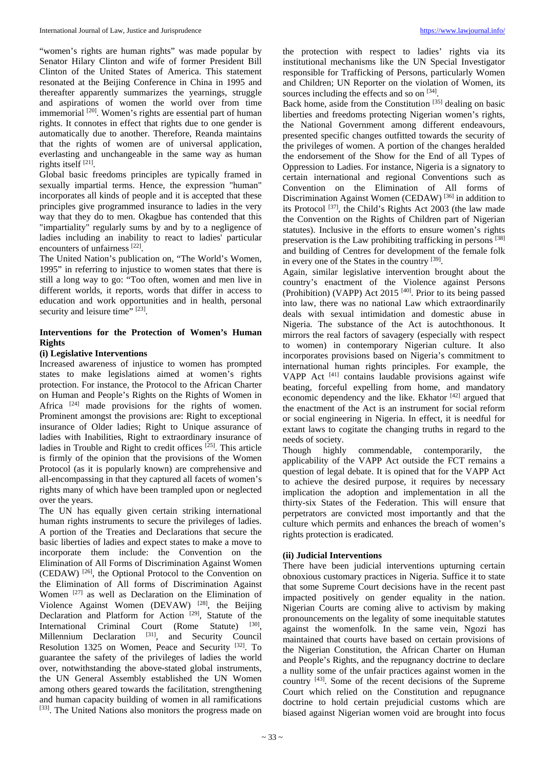"women's rights are human rights" was made popular by Senator Hilary Clinton and wife of former President Bill Clinton of the United States of America. This statement resonated at the Beijing Conference in China in 1995 and thereafter apparently summarizes the yearnings, struggle and aspirations of women the world over from time immemorial <sup>[20]</sup>. Women's rights are essential part of human rights. It connotes in effect that rights due to one gender is automatically due to another. Therefore, Reanda maintains that the rights of women are of universal application, everlasting and unchangeable in the same way as human rights itself [21].

Global basic freedoms principles are typically framed in sexually impartial terms. Hence, the expression "human" incorporates all kinds of people and it is accepted that these principles give programmed insurance to ladies in the very way that they do to men. Okagbue has contended that this "impartiality" regularly sums by and by to a negligence of ladies including an inability to react to ladies' particular encounters of unfairness [22].

The United Nation's publication on, "The World's Women, 1995" in referring to injustice to women states that there is still a long way to go: "Too often, women and men live in different worlds, it reports, words that differ in access to education and work opportunities and in health, personal security and leisure time" [23].

# **Interventions for the Protection of Women's Human Rights**

# **(i) Legislative Interventions**

Increased awareness of injustice to women has prompted states to make legislations aimed at women's rights protection. For instance, the Protocol to the African Charter on Human and People's Rights on the Rights of Women in Africa <sup>[24]</sup> made provisions for the rights of women. Prominent amongst the provisions are: Right to exceptional insurance of Older ladies; Right to Unique assurance of ladies with Inabilities, Right to extraordinary insurance of ladies in Trouble and Right to credit offices<sup>[25]</sup>. This article is firmly of the opinion that the provisions of the Women Protocol (as it is popularly known) are comprehensive and all-encompassing in that they captured all facets of women's rights many of which have been trampled upon or neglected over the years.

The UN has equally given certain striking international human rights instruments to secure the privileges of ladies. A portion of the Treaties and Declarations that secure the basic liberties of ladies and expect states to make a move to incorporate them include: the Convention on the Elimination of All Forms of Discrimination Against Women (CEDAW) [26] , the Optional Protocol to the Convention on the Elimination of All forms of Discrimination Against Women [27] as well as Declaration on the Elimination of Violence Against Women (DEVAW)  $^{[28]}$ , the Beijing Declaration and Platform for Action<sup>[29]</sup>, Statute of the International Criminal Court (Rome Statute) [30], Millennium Declaration <sup>[31]</sup>, and Security Council Resolution 1325 on Women, Peace and Security <sup>[32]</sup>. To guarantee the safety of the privileges of ladies the world over, notwithstanding the above-stated global instruments, the UN General Assembly established the UN Women among others geared towards the facilitation, strengthening and human capacity building of women in all ramifications [33]. The United Nations also monitors the progress made on

the protection with respect to ladies' rights via its institutional mechanisms like the UN Special Investigator responsible for Trafficking of Persons, particularly Women and Children; UN Reporter on the violation of Women, its sources including the effects and so on [34].

Back home, aside from the Constitution<sup>[35]</sup> dealing on basic liberties and freedoms protecting Nigerian women's rights, the National Government among different endeavours, presented specific changes outfitted towards the security of the privileges of women. A portion of the changes heralded the endorsement of the Show for the End of all Types of Oppression to Ladies. For instance, Nigeria is a signatory to certain international and regional Conventions such as Convention on the Elimination of All forms of Discrimination Against Women (CEDAW)<sup>[36]</sup> in addition to its Protocol<sup>[37]</sup>, the Child's Rights Act 2003 (the law made the Convention on the Rights of Children part of Nigerian statutes). Inclusive in the efforts to ensure women's rights preservation is the Law prohibiting trafficking in persons [38] and building of Centres for development of the female folk in every one of the States in the country [39].

Again, similar legislative intervention brought about the country's enactment of the Violence against Persons (Prohibition) (VAPP) Act 2015<sup>[40]</sup>. Prior to its being passed into law, there was no national Law which extraordinarily deals with sexual intimidation and domestic abuse in Nigeria. The substance of the Act is autochthonous. It mirrors the real factors of savagery (especially with respect to women) in contemporary Nigerian culture. It also incorporates provisions based on Nigeria's commitment to international human rights principles. For example, the VAPP Act  $[41]$  contains laudable provisions against wife beating, forceful expelling from home, and mandatory economic dependency and the like. Ekhator [42] argued that the enactment of the Act is an instrument for social reform or social engineering in Nigeria. In effect, it is needful for extant laws to cogitate the changing truths in regard to the needs of society.

Though highly commendable, contemporarily, the applicability of the VAPP Act outside the FCT remains a question of legal debate. It is opined that for the VAPP Act to achieve the desired purpose, it requires by necessary implication the adoption and implementation in all the thirty-six States of the Federation. This will ensure that perpetrators are convicted most importantly and that the culture which permits and enhances the breach of women's rights protection is eradicated.

# **(ii) Judicial Interventions**

There have been judicial interventions upturning certain obnoxious customary practices in Nigeria. Suffice it to state that some Supreme Court decisions have in the recent past impacted positively on gender equality in the nation. Nigerian Courts are coming alive to activism by making pronouncements on the legality of some inequitable statutes against the womenfolk. In the same vein, Ngozi has maintained that courts have based on certain provisions of the Nigerian Constitution, the African Charter on Human and People's Rights, and the repugnancy doctrine to declare a nullity some of the unfair practices against women in the country <sup>[43]</sup>. Some of the recent decisions of the Supreme Court which relied on the Constitution and repugnance doctrine to hold certain prejudicial customs which are biased against Nigerian women void are brought into focus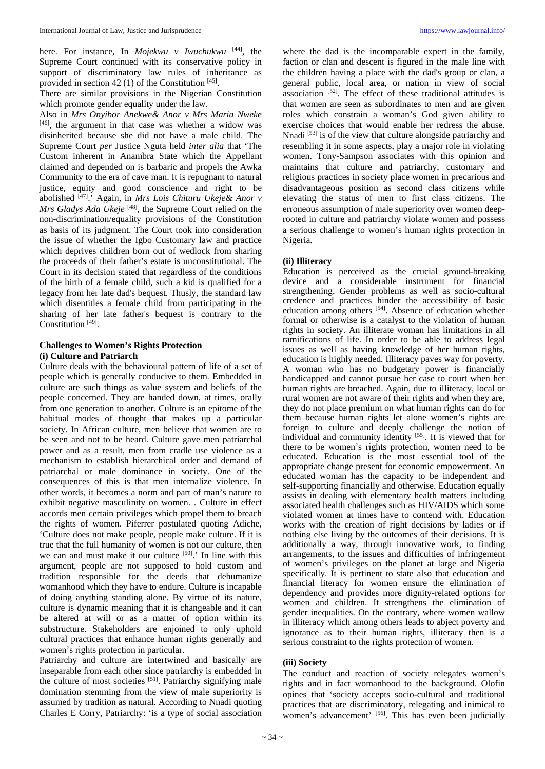here. For instance, In *Mojekwu v Iwuchukwu* [44] , the Supreme Court continued with its conservative policy in support of discriminatory law rules of inheritance as provided in section 42 (1) of the Constitution  $[45]$ .

There are similar provisions in the Nigerian Constitution which promote gender equality under the law.

Also in *Mrs Onyibor Anekwe& Anor v Mrs Maria Nweke* [46] , the argument in that case was whether a widow was disinherited because she did not have a male child. The Supreme Court *per* Justice Nguta held *inter alia* that 'The Custom inherent in Anambra State which the Appellant claimed and depended on is barbaric and propels the Awka Community to the era of cave man. It is repugnant to natural justice, equity and good conscience and right to be abolished [47] .' Again, in *Mrs Lois Chituru Ukeje& Anor v Mrs Gladys Ada Ukeje*<sup>[48]</sup>, the Supreme Court relied on the non-discrimination/equality provisions of the Constitution as basis of its judgment. The Court took into consideration the issue of whether the Igbo Customary law and practice which deprives children born out of wedlock from sharing the proceeds of their father's estate is unconstitutional. The Court in its decision stated that regardless of the conditions of the birth of a female child, such a kid is qualified for a legacy from her late dad's bequest. Thusly, the standard law which disentitles a female child from participating in the sharing of her late father's bequest is contrary to the Constitution<sup>[49]</sup>.

# **Challenges to Women's Rights Protection (i) Culture and Patriarch**

Culture deals with the behavioural pattern of life of a set of people which is generally conducive to them. Embedded in culture are such things as value system and beliefs of the people concerned. They are handed down, at times, orally from one generation to another. Culture is an epitome of the habitual modes of thought that makes up a particular society. In African culture, men believe that women are to be seen and not to be heard. Culture gave men patriarchal power and as a result, men from cradle use violence as a mechanism to establish hierarchical order and demand of patriarchal or male dominance in society. One of the consequences of this is that men internalize violence. In other words, it becomes a norm and part of man's nature to exhibit negative masculinity on women. . Culture in effect accords men certain privileges which propel them to breach the rights of women. Piferrer postulated quoting Adiche, 'Culture does not make people, people make culture. If it is true that the full humanity of women is not our culture, then we can and must make it our culture <sup>[50]</sup>. In line with this argument, people are not supposed to hold custom and tradition responsible for the deeds that dehumanize womanhood which they have to endure. Culture is incapable of doing anything standing alone. By virtue of its nature, culture is dynamic meaning that it is changeable and it can be altered at will or as a matter of option within its substructure. Stakeholders are enjoined to only uphold cultural practices that enhance human rights generally and women's rights protection in particular.

Patriarchy and culture are intertwined and basically are inseparable from each other since patriarchy is embedded in the culture of most societies  $[51]$ . Patriarchy signifying male domination stemming from the view of male superiority is assumed by tradition as natural. According to Nnadi quoting Charles E Corry, Patriarchy: 'is a type of social association

where the dad is the incomparable expert in the family, faction or clan and descent is figured in the male line with the children having a place with the dad's group or clan, a general public, local area, or nation in view of social association  $[52]$ . The effect of these traditional attitudes is that women are seen as subordinates to men and are given roles which constrain a woman's God given ability to exercise choices that would enable her redress the abuse. Nnadi [53] is of the view that culture alongside patriarchy and resembling it in some aspects, play a major role in violating women. Tony-Sampson associates with this opinion and maintains that culture and patriarchy, customary and religious practices in society place women in precarious and disadvantageous position as second class citizens while elevating the status of men to first class citizens. The erroneous assumption of male superiority over women deeprooted in culture and patriarchy violate women and possess a serious challenge to women's human rights protection in Nigeria.

# **(ii) Illiteracy**

Education is perceived as the crucial ground-breaking device and a considerable instrument for financial strengthening. Gender problems as well as socio-cultural credence and practices hinder the accessibility of basic education among others <sup>[54]</sup>. Absence of education whether formal or otherwise is a catalyst to the violation of human rights in society. An illiterate woman has limitations in all ramifications of life. In order to be able to address legal issues as well as having knowledge of her human rights, education is highly needed. Illiteracy paves way for poverty. A woman who has no budgetary power is financially handicapped and cannot pursue her case to court when her human rights are breached. Again, due to illiteracy, local or rural women are not aware of their rights and when they are, they do not place premium on what human rights can do for them because human rights let alone women's rights are foreign to culture and deeply challenge the notion of individual and community identity [55]. It is viewed that for there to be women's rights protection, women need to be educated. Education is the most essential tool of the appropriate change present for economic empowerment. An educated woman has the capacity to be independent and self-supporting financially and otherwise. Education equally assists in dealing with elementary health matters including associated health challenges such as HIV/AIDS which some violated women at times have to contend with. Education works with the creation of right decisions by ladies or if nothing else living by the outcomes of their decisions. It is additionally a way, through innovative work, to finding arrangements, to the issues and difficulties of infringement of women's privileges on the planet at large and Nigeria specifically. It is pertinent to state also that education and financial literacy for women ensure the elimination of dependency and provides more dignity-related options for women and children. It strengthens the elimination of gender inequalities. On the contrary, where women wallow in illiteracy which among others leads to abject poverty and ignorance as to their human rights, illiteracy then is a serious constraint to the rights protection of women.

#### **(iii) Society**

The conduct and reaction of society relegates women's rights and in fact womanhood to the background. Olofin opines that 'society accepts socio-cultural and traditional practices that are discriminatory, relegating and inimical to women's advancement' [56]. This has even been judicially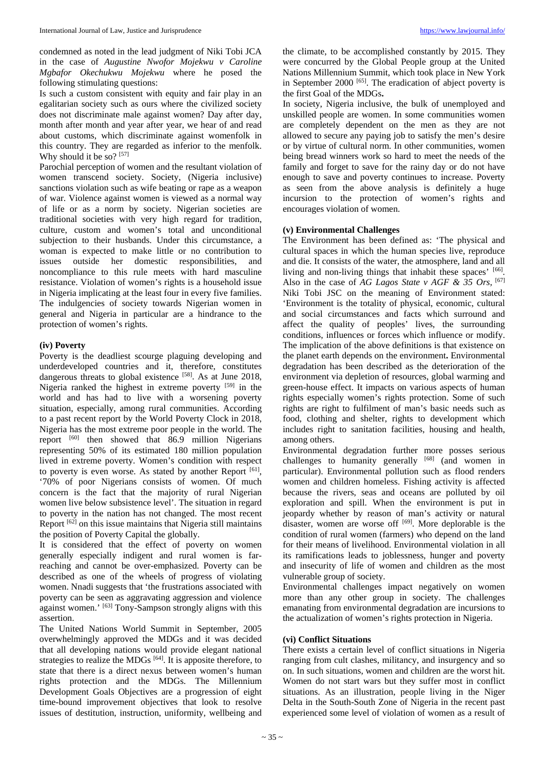condemned as noted in the lead judgment of Niki Tobi JCA in the case of *Augustine Nwofor Mojekwu v Caroline Mgbafor Okechukwu Mojekwu* where he posed the following stimulating questions:

Is such a custom consistent with equity and fair play in an egalitarian society such as ours where the civilized society does not discriminate male against women? Day after day, month after month and year after year, we hear of and read about customs, which discriminate against womenfolk in this country. They are regarded as inferior to the menfolk. Why should it be so?  $[57]$ 

Parochial perception of women and the resultant violation of women transcend society. Society, (Nigeria inclusive) sanctions violation such as wife beating or rape as a weapon of war. Violence against women is viewed as a normal way of life or as a norm by society. Nigerian societies are traditional societies with very high regard for tradition, culture, custom and women's total and unconditional subjection to their husbands. Under this circumstance, a woman is expected to make little or no contribution to issues outside her domestic responsibilities, and noncompliance to this rule meets with hard masculine resistance. Violation of women's rights is a household issue in Nigeria implicating at the least four in every five families. The indulgencies of society towards Nigerian women in general and Nigeria in particular are a hindrance to the protection of women's rights.

# **(iv) Poverty**

Poverty is the deadliest scourge plaguing developing and underdeveloped countries and it, therefore, constitutes dangerous threats to global existence [58]. As at June 2018, Nigeria ranked the highest in extreme poverty [59] in the world and has had to live with a worsening poverty situation, especially, among rural communities. According to a past recent report by the World Poverty Clock in 2018, Nigeria has the most extreme poor people in the world. The report  $[60]$  then showed that  $86.9$  million Nigerians representing 50% of its estimated 180 million population lived in extreme poverty. Women's condition with respect to poverty is even worse. As stated by another Report [61], '70% of poor Nigerians consists of women. Of much concern is the fact that the majority of rural Nigerian women live below subsistence level'. The situation in regard to poverty in the nation has not changed. The most recent Report [62] on this issue maintains that Nigeria still maintains the position of Poverty Capital the globally.

It is considered that the effect of poverty on women generally especially indigent and rural women is farreaching and cannot be over-emphasized. Poverty can be described as one of the wheels of progress of violating women. Nnadi suggests that 'the frustrations associated with poverty can be seen as aggravating aggression and violence against women.' [63] Tony-Sampson strongly aligns with this assertion.

The United Nations World Summit in September, 2005 overwhelmingly approved the MDGs and it was decided that all developing nations would provide elegant national strategies to realize the MDGs <sup>[64]</sup>. It is apposite therefore, to state that there is a direct nexus between women's human rights protection and the MDGs. The Millennium Development Goals Objectives are a progression of eight time-bound improvement objectives that look to resolve issues of destitution, instruction, uniformity, wellbeing and

the climate, to be accomplished constantly by 2015. They were concurred by the Global People group at the United Nations Millennium Summit, which took place in New York in September 2000<sup>[65]</sup>. The eradication of abject poverty is the first Goal of the MDGs**.** 

In society, Nigeria inclusive, the bulk of unemployed and unskilled people are women. In some communities women are completely dependent on the men as they are not allowed to secure any paying job to satisfy the men's desire or by virtue of cultural norm. In other communities, women being bread winners work so hard to meet the needs of the family and forget to save for the rainy day or do not have enough to save and poverty continues to increase. Poverty as seen from the above analysis is definitely a huge incursion to the protection of women's rights and encourages violation of women.

# **(v) Environmental Challenges**

The Environment has been defined as: 'The physical and cultural spaces in which the human species live, reproduce and die. It consists of the water, the atmosphere, land and all living and non-living things that inhabit these spaces' [66]. Also in the case of *AG Lagos State v AGF & 35 Ors,* [67] Niki Tobi JSC on the meaning of Environment stated: 'Environment is the totality of physical, economic, cultural and social circumstances and facts which surround and affect the quality of peoples' lives, the surrounding conditions, influences or forces which influence or modify. The implication of the above definitions is that existence on the planet earth depends on the environment**.** Environmental degradation has been described as the deterioration of the environment via depletion of resources, global warming and green-house effect. It impacts on various aspects of human rights especially women's rights protection. Some of such rights are right to fulfilment of man's basic needs such as food, clothing and shelter, rights to development which includes right to sanitation facilities, housing and health, among others.

Environmental degradation further more posses serious challenges to humanity generally  $[68]$  (and women in particular). Environmental pollution such as flood renders women and children homeless. Fishing activity is affected because the rivers, seas and oceans are polluted by oil exploration and spill. When the environment is put in jeopardy whether by reason of man's activity or natural disaster, women are worse off  $[69]$ . More deplorable is the condition of rural women (farmers) who depend on the land for their means of livelihood. Environmental violation in all its ramifications leads to joblessness, hunger and poverty and insecurity of life of women and children as the most vulnerable group of society.

Environmental challenges impact negatively on women more than any other group in society. The challenges emanating from environmental degradation are incursions to the actualization of women's rights protection in Nigeria.

#### **(vi) Conflict Situations**

There exists a certain level of conflict situations in Nigeria ranging from cult clashes, militancy, and insurgency and so on. In such situations, women and children are the worst hit. Women do not start wars but they suffer most in conflict situations. As an illustration, people living in the Niger Delta in the South-South Zone of Nigeria in the recent past experienced some level of violation of women as a result of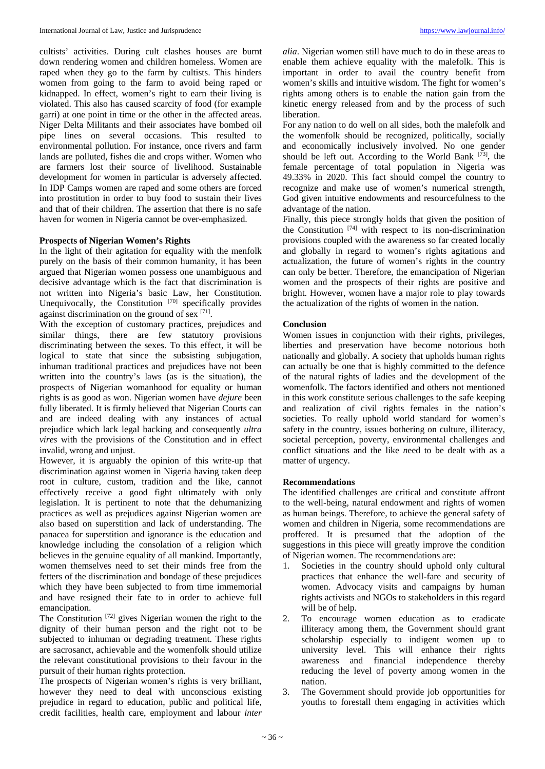cultists' activities. During cult clashes houses are burnt down rendering women and children homeless. Women are raped when they go to the farm by cultists. This hinders women from going to the farm to avoid being raped or kidnapped. In effect, women's right to earn their living is violated. This also has caused scarcity of food (for example garri) at one point in time or the other in the affected areas. Niger Delta Militants and their associates have bombed oil pipe lines on several occasions. This resulted to environmental pollution. For instance, once rivers and farm lands are polluted, fishes die and crops wither. Women who are farmers lost their source of livelihood. Sustainable development for women in particular is adversely affected. In IDP Camps women are raped and some others are forced into prostitution in order to buy food to sustain their lives and that of their children. The assertion that there is no safe haven for women in Nigeria cannot be over-emphasized.

#### **Prospects of Nigerian Women's Rights**

In the light of their agitation for equality with the menfolk purely on the basis of their common humanity, it has been argued that Nigerian women possess one unambiguous and decisive advantage which is the fact that discrimination is not written into Nigeria's basic Law, her Constitution. Unequivocally, the Constitution [70] specifically provides against discrimination on the ground of sex [71].

With the exception of customary practices, prejudices and similar things, there are few statutory provisions discriminating between the sexes. To this effect, it will be logical to state that since the subsisting subjugation, inhuman traditional practices and prejudices have not been written into the country's laws (as is the situation), the prospects of Nigerian womanhood for equality or human rights is as good as won. Nigerian women have *dejure* been fully liberated. It is firmly believed that Nigerian Courts can and are indeed dealing with any instances of actual prejudice which lack legal backing and consequently *ultra vires* with the provisions of the Constitution and in effect invalid, wrong and unjust.

However, it is arguably the opinion of this write-up that discrimination against women in Nigeria having taken deep root in culture, custom, tradition and the like, cannot effectively receive a good fight ultimately with only legislation. It is pertinent to note that the dehumanizing practices as well as prejudices against Nigerian women are also based on superstition and lack of understanding. The panacea for superstition and ignorance is the education and knowledge including the consolation of a religion which believes in the genuine equality of all mankind. Importantly, women themselves need to set their minds free from the fetters of the discrimination and bondage of these prejudices which they have been subjected to from time immemorial and have resigned their fate to in order to achieve full emancipation.

The Constitution [72] gives Nigerian women the right to the dignity of their human person and the right not to be subjected to inhuman or degrading treatment. These rights are sacrosanct, achievable and the womenfolk should utilize the relevant constitutional provisions to their favour in the pursuit of their human rights protection.

The prospects of Nigerian women's rights is very brilliant, however they need to deal with unconscious existing prejudice in regard to education, public and political life, credit facilities, health care, employment and labour *inter* 

*alia*. Nigerian women still have much to do in these areas to enable them achieve equality with the malefolk. This is important in order to avail the country benefit from women's skills and intuitive wisdom. The fight for women's rights among others is to enable the nation gain from the kinetic energy released from and by the process of such liberation.

For any nation to do well on all sides, both the malefolk and the womenfolk should be recognized, politically, socially and economically inclusively involved. No one gender should be left out. According to the World Bank  $[73]$ , the female percentage of total population in Nigeria was 49.33% in 2020. This fact should compel the country to recognize and make use of women's numerical strength, God given intuitive endowments and resourcefulness to the advantage of the nation.

Finally, this piece strongly holds that given the position of the Constitution  $^{[74]}$  with respect to its non-discrimination provisions coupled with the awareness so far created locally and globally in regard to women's rights agitations and actualization, the future of women's rights in the country can only be better. Therefore, the emancipation of Nigerian women and the prospects of their rights are positive and bright. However, women have a major role to play towards the actualization of the rights of women in the nation.

#### **Conclusion**

Women issues in conjunction with their rights, privileges, liberties and preservation have become notorious both nationally and globally. A society that upholds human rights can actually be one that is highly committed to the defence of the natural rights of ladies and the development of the womenfolk. The factors identified and others not mentioned in this work constitute serious challenges to the safe keeping and realization of civil rights females in the nation's societies. To really uphold world standard for women's safety in the country, issues bothering on culture, illiteracy, societal perception, poverty, environmental challenges and conflict situations and the like *n*eed to be dealt with as a matter of urgency.

#### **Recommendations**

The identified challenges are critical and constitute affront to the well-being, natural endowment and rights of women as human beings. Therefore, to achieve the general safety of women and children in Nigeria, some recommendations are proffered. It is presumed that the adoption of the suggestions in this piece will greatly improve the condition of Nigerian women. The recommendations are:

- 1. Societies in the country should uphold only cultural practices that enhance the well-fare and security of women. Advocacy visits and campaigns by human rights activists and NGOs to stakeholders in this regard will be of help.
- 2. To encourage women education as to eradicate illiteracy among them, the Government should grant scholarship especially to indigent women up to university level. This will enhance their rights awareness and financial independence thereby reducing the level of poverty among women in the nation.
- 3. The Government should provide job opportunities for youths to forestall them engaging in activities which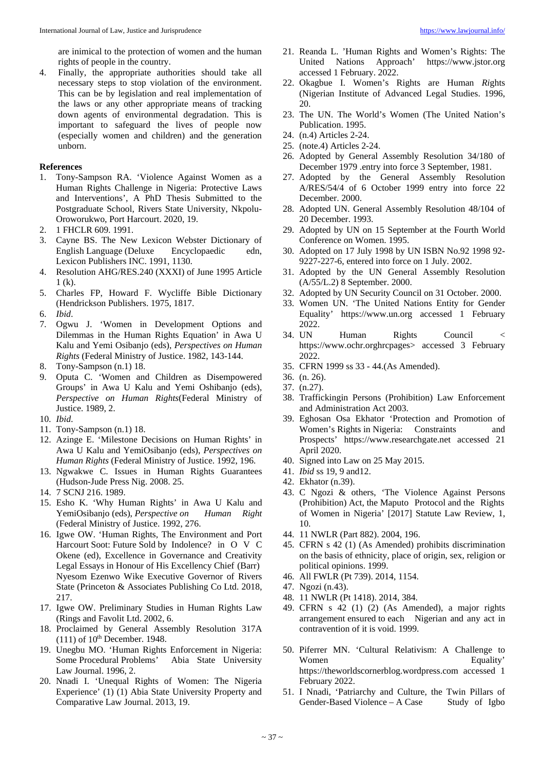are inimical to the protection of women and the human rights of people in the country.

4. Finally, the appropriate authorities should take all necessary steps to stop violation of the environment. This can be by legislation and real implementation of the laws or any other appropriate means of tracking down agents of environmental degradation. This is important to safeguard the lives of people now (especially women and children) and the generation unborn.

# **References**

- 1. Tony-Sampson RA. 'Violence Against Women as a Human Rights Challenge in Nigeria: Protective Laws and Interventions', A PhD Thesis Submitted to the Postgraduate School, Rivers State University, Nkpolu-Oroworukwo, Port Harcourt. 2020, 19.
- 2. 1 FHCLR 609. 1991.
- 3. Cayne BS. The New Lexicon Webster Dictionary of English Language (Deluxe Encyclopaedic edn, Lexicon Publishers INC. 1991, 1130.
- 4. Resolution AHG/RES.240 (XXXI) of June 1995 Article 1 (k).
- 5. Charles FP, Howard F. Wycliffe Bible Dictionary (Hendrickson Publishers. 1975, 1817.
- 6. *Ibid*.
- 7. Ogwu J. 'Women in Development Options and Dilemmas in the Human Rights Equation' in Awa U Kalu and Yemi Osibanjo (eds), *Perspectives on Human Rights* (Federal Ministry of Justice. 1982, 143-144.
- 8. Tony-Sampson (n.1) 18.
- 9. Oputa C. 'Women and Children as Disempowered Groups' in Awa U Kalu and Yemi Oshibanjo (eds), *Perspective on Human Rights*(Federal Ministry of Justice. 1989, 2.
- 10. *Ibid*.
- 11. Tony-Sampson (n.1) 18.
- 12. Azinge E. 'Milestone Decisions on Human Rights' in Awa U Kalu and YemiOsibanjo (eds), *Perspectives on Human Rights* (Federal Ministry of Justice. 1992, 196.
- 13. Ngwakwe C. Issues in Human Rights Guarantees (Hudson-Jude Press Nig. 2008. 25.
- 14. 7 SCNJ 216. 1989.
- 15. Esho K. 'Why Human Rights' in Awa U Kalu and YemiOsibanjo (eds), *Perspective on Human Right* YemiOsibanjo (eds), Perspective on (Federal Ministry of Justice. 1992, 276.
- 16. Igwe OW. 'Human Rights, The Environment and Port Harcourt Soot: Future Sold by Indolence? in O V C Okene (ed), Excellence in Governance and Creativity Legal Essays in Honour of His Excellency Chief (Barr) Nyesom Ezenwo Wike Executive Governor of Rivers State (Princeton & Associates Publishing Co Ltd. 2018, 217.
- 17. Igwe OW. Preliminary Studies in Human Rights Law (Rings and Favolit Ltd. 2002, 6.
- 18. Proclaimed by General Assembly Resolution 317A  $(111)$  of  $10<sup>th</sup>$  December. 1948.
- 19. Unegbu MO. 'Human Rights Enforcement in Nigeria: Some Procedural Problems' Abia State University Law Journal. 1996, 2.
- 20. Nnadi I. 'Unequal Rights of Women: The Nigeria Experience' (1) (1) Abia State University Property and Comparative Law Journal. 2013, 19.
- 21. Reanda L. 'Human Rights and Women's Rights: The United Nations Approach' https://www.jstor.org accessed 1 February. 2022.
- 22. Okagbue I. Women's Rights are Human *Ri*ghts (Nigerian Institute of Advanced Legal Studies. 1996, 20.
- 23. The UN. The World's Women (The United Nation's Publication. 1995.
- 24. (n.4) Articles 2-24.
- 25. (note.4) Articles 2-24.
- 26. Adopted by General Assembly Resolution 34/180 of December 1979 .entry into force 3 September, 1981.
- 27. Adopted by the General Assembly Resolution A/RES/54/4 of 6 October 1999 entry into force 22 December. 2000.
- 28. Adopted UN. General Assembly Resolution 48/104 of 20 December. 1993.
- 29. Adopted by UN on 15 September at the Fourth World Conference on Women. 1995.
- 30. Adopted on 17 July 1998 by UN ISBN No.92 1998 92- 9227-227-6, entered into force on 1 July. 2002.
- 31. Adopted by the UN General Assembly Resolution (A/55/L.2) 8 September. 2000.
- 32. Adopted by UN Security Council on 31 October. 2000.
- 33. Women UN. 'The United Nations Entity for Gender Equality' https://www.un.org accessed 1 February 2022.<br>34. UN
- Human Rights Council < https://www.ochr.orghrcpages> accessed 3 February 2022.
- 35. CFRN 1999 ss 33 44.(As Amended).
- 36. (n. 26).
- 37. (n.27).
- 38. Traffickingin Persons (Prohibition) Law Enforcement and Administration Act 2003.
- 39. Eghosan Osa Ekhator 'Protection and Promotion of Women's Rights in Nigeria: Constraints and Prospects' https://www.researchgate.net accessed 21 April 2020.
- 40. Signed into Law on 25 May 2015.
- 41. *Ibid* ss 19, 9 and12.
- 42. Ekhator (n.39).
- 43. C Ngozi & others, 'The Violence Against Persons (Prohibition) Act, the Maputo Protocol and the Rights of Women in Nigeria' [2017] Statute Law Review, 1, 10.
- 44. 11 NWLR (Part 882). 2004, 196.
- 45. CFRN s 42 (1) (As Amended) prohibits discrimination on the basis of ethnicity, place of origin, sex, religion or political opinions. 1999.
- 46. All FWLR (Pt 739). 2014, 1154.
- 47. Ngozi (n.43).
- 48. 11 NWLR (Pt 1418). 2014, 384. 49. CFRN s 42 (1) (2) (As Amended), a major rights arrangement ensured to each Nigerian and any act in contravention of it is void. 1999.
- 50. Piferrer MN. 'Cultural Relativism: A Challenge to Women Equality' https://theworldscornerblog.wordpress.com accessed 1 February 2022.
- 51. I Nnadi, 'Patriarchy and Culture, the Twin Pillars of Gender-Based Violence – A Case Study of Igbo